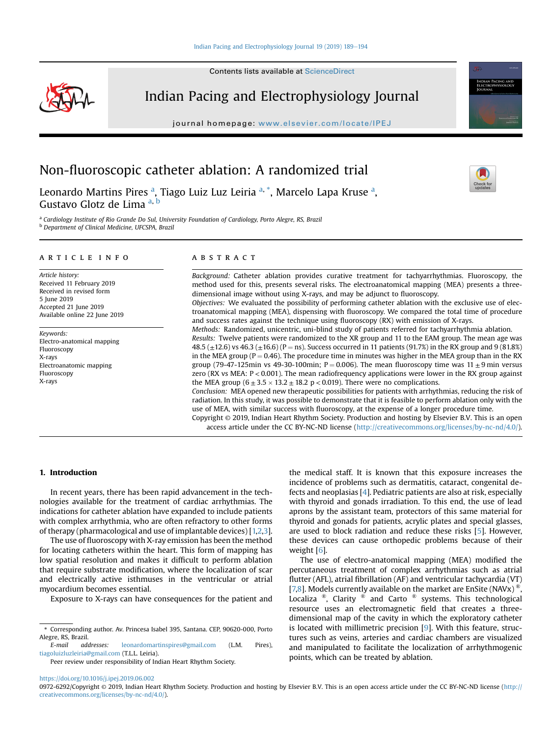Contents lists available at ScienceDirect



Indian Pacing and Electrophysiology Journal

journal homepage: <www.elsevier.com/locate/IPEJ>



# Non-fluoroscopic catheter ablation: A randomized trial

Leonardo Martins Pires <sup>a</sup>, Tiago Luiz Luz Leiria <sup>a, \*</sup>, Marcelo Lapa Kruse <sup>a</sup>, Gustavo Glotz de Lima <sup>a, b</sup>

<sup>a</sup> Cardiology Institute of Rio Grande Do Sul, University Foundation of Cardiology, Porto Alegre, RS, Brazil <sup>b</sup> Department of Clinical Medicine, UFCSPA, Brazil

### article info

Article history: Received 11 February 2019 Received in revised form 5 June 2019 Accepted 21 June 2019 Available online 22 June 2019

Keywords: Electro-anatomical mapping Fluoroscopy X-rays Electroanatomic mapping Fluoroscopy X-rays

## ABSTRACT

Background: Catheter ablation provides curative treatment for tachyarrhythmias. Fluoroscopy, the method used for this, presents several risks. The electroanatomical mapping (MEA) presents a threedimensional image without using X-rays, and may be adjunct to fluoroscopy. Objectives: We evaluated the possibility of performing catheter ablation with the exclusive use of elec-

troanatomical mapping (MEA), dispensing with fluoroscopy. We compared the total time of procedure and success rates against the technique using fluoroscopy (RX) with emission of X-rays.

Methods: Randomized, unicentric, uni-blind study of patients referred for tachyarrhythmia ablation. Results: Twelve patients were randomized to the XR group and 11 to the EAM group. The mean age was 48.5 ( $\pm$ 12.6) vs 46.3 ( $\pm$ 16.6) (P = ns). Success occurred in 11 patients (91.7%) in the RX group and 9 (81.8%) in the MEA group ( $P = 0.46$ ). The procedure time in minutes was higher in the MEA group than in the RX group (79-47-125min vs 49-30-100min; P = 0.006). The mean fluoroscopy time was  $11 \pm 9$  min versus zero (RX vs MEA: P < 0.001). The mean radiofrequency applications were lower in the RX group against

the MEA group  $(6 \pm 3.5 \times 13.2 \pm 18.2 \text{ p} < 0.019)$ . There were no complications. Conclusion: MEA opened new therapeutic possibilities for patients with arrhythmias, reducing the risk of radiation. In this study, it was possible to demonstrate that it is feasible to perform ablation only with the use of MEA, with similar success with fluoroscopy, at the expense of a longer procedure time.

Copyright © 2019, Indian Heart Rhythm Society. Production and hosting by Elsevier B.V. This is an open access article under the CC BY-NC-ND license [\(http://creativecommons.org/licenses/by-nc-nd/4.0/](http://creativecommons.org/licenses/by-nc-nd/4.0/)).

## 1. Introduction

In recent years, there has been rapid advancement in the technologies available for the treatment of cardiac arrhythmias. The indications for catheter ablation have expanded to include patients with complex arrhythmia, who are often refractory to other forms of therapy (pharmacological and use of implantable devices) [\[1,2](#page-4-0)[,3\]](#page-5-0).

The use of fluoroscopy with X-ray emission has been the method for locating catheters within the heart. This form of mapping has low spatial resolution and makes it difficult to perform ablation that require substrate modification, where the localization of scar and electrically active isthmuses in the ventricular or atrial myocardium becomes essential.

Exposure to X-rays can have consequences for the patient and

E-mail addresses: [leonardomartinspires@gmail.com](mailto:leonardomartinspires@gmail.com) (L.M. Pires), [tiagoluizluzleiria@gmail.com](mailto:tiagoluizluzleiria@gmail.com) (T.L.L. Leiria).

Peer review under responsibility of Indian Heart Rhythm Society.

the medical staff. It is known that this exposure increases the incidence of problems such as dermatitis, cataract, congenital defects and neoplasias [[4](#page-5-0)]. Pediatric patients are also at risk, especially with thyroid and gonads irradiation. To this end, the use of lead aprons by the assistant team, protectors of this same material for thyroid and gonads for patients, acrylic plates and special glasses, are used to block radiation and reduce these risks [\[5\]](#page-5-0). However, these devices can cause orthopedic problems because of their weight [\[6\]](#page-5-0).

The use of electro-anatomical mapping (MEA) modified the percutaneous treatment of complex arrhythmias such as atrial flutter (AFL), atrial fibrillation (AF) and ventricular tachycardia (VT) [\[7,8](#page-5-0)]. Models currently available on the market are EnSite (NAVx)<sup> $\ell$ </sup> Localiza ®, Clarity ® and Carto ® systems. This technological resource uses an electromagnetic field that creates a threedimensional map of the cavity in which the exploratory catheter is located with millimetric precision  $[9]$  $[9]$ . With this feature, structures such as veins, arteries and cardiac chambers are visualized and manipulated to facilitate the localization of arrhythmogenic points, which can be treated by ablation.

<https://doi.org/10.1016/j.ipej.2019.06.002>

<sup>\*</sup> Corresponding author. Av. Princesa Isabel 395, Santana. CEP, 90620-000, Porto Alegre, RS, Brazil.

<sup>0972-6292/</sup>Copyright © 2019, Indian Heart Rhythm Society. Production and hosting by Elsevier B.V. This is an open access article under the CC BY-NC-ND license ([http://](http://creativecommons.org/licenses/by-nc-nd/4.0/) [creativecommons.org/licenses/by-nc-nd/4.0/](http://creativecommons.org/licenses/by-nc-nd/4.0/)).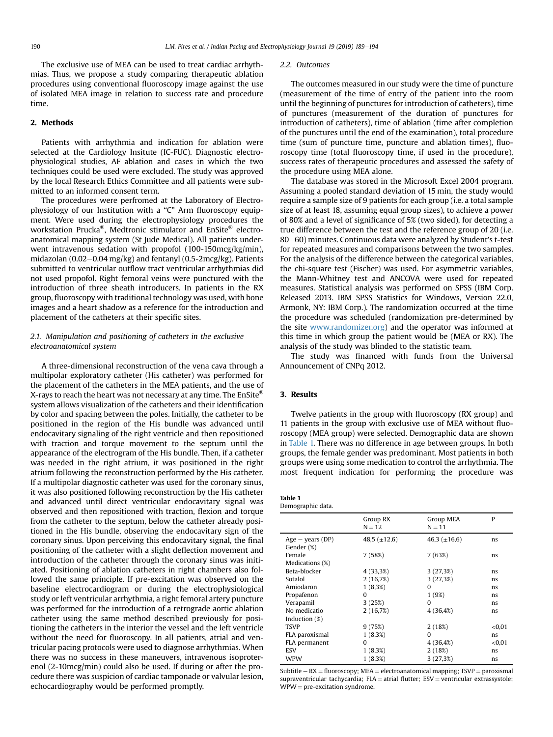The exclusive use of MEA can be used to treat cardiac arrhythmias. Thus, we propose a study comparing therapeutic ablation procedures using conventional fluoroscopy image against the use of isolated MEA image in relation to success rate and procedure time.

### 2. Methods

Patients with arrhythmia and indication for ablation were selected at the Cardiology Insitute (IC-FUC). Diagnostic electrophysiological studies, AF ablation and cases in which the two techniques could be used were excluded. The study was approved by the local Research Ethics Committee and all patients were submitted to an informed consent term.

The procedures were perfromed at the Laboratory of Electrophysiology of our Institution with a "C" Arm fluoroscopy equipment. Were used during the electrophysiology procedures the workstation Prucka®, Medtronic stimulator and EnSite® electroanatomical mapping system (St Jude Medical). All patients underwent intravenous sedation with propofol (100-150mcg/kg/min), midazolan (0.02–0.04 mg/kg) and fentanyl (0.5-2mcg/kg). Patients submitted to ventricular outflow tract ventricular arrhythmias did not used propofol. Right femoral veins were punctured with the introduction of three sheath introducers. In patients in the RX group, fluoroscopy with traditional technology was used, with bone images and a heart shadow as a reference for the introduction and placement of the catheters at their specific sites.

# 2.1. Manipulation and positioning of catheters in the exclusive electroanatomical system

A three-dimensional reconstruction of the vena cava through a multipolar exploratory catheter (His catheter) was performed for the placement of the catheters in the MEA patients, and the use of X-rays to reach the heart was not necessary at any time. The  $EnSite^{\circledR}$ system allows visualization of the catheters and their identification by color and spacing between the poles. Initially, the catheter to be positioned in the region of the His bundle was advanced until endocavitary signaling of the right ventricle and then repositioned with traction and torque movement to the septum until the appearance of the electrogram of the His bundle. Then, if a catheter was needed in the right atrium, it was positioned in the right atrium following the reconstruction performed by the His catheter. If a multipolar diagnostic catheter was used for the coronary sinus, it was also positioned following reconstruction by the His catheter and advanced until direct ventricular endocavitary signal was observed and then repositioned with traction, flexion and torque from the catheter to the septum, below the catheter already positioned in the His bundle, observing the endocavitary sign of the coronary sinus. Upon perceiving this endocavitary signal, the final positioning of the catheter with a slight deflection movement and introduction of the catheter through the coronary sinus was initiated. Positioning of ablation catheters in right chambers also followed the same principle. If pre-excitation was observed on the baseline electrocardiogram or during the electrophysiological study or left ventricular arrhythmia, a right femoral artery puncture was performed for the introduction of a retrograde aortic ablation catheter using the same method described previously for positioning the catheters in the interior the vessel and the left ventricle without the need for fluoroscopy. In all patients, atrial and ventricular pacing protocols were used to diagnose arrhythmias. When there was no success in these maneuvers, intravenous isoproterenol (2-10mcg/min) could also be used. If during or after the procedure there was suspicion of cardiac tamponade or valvular lesion, echocardiography would be performed promptly.

#### 2.2. Outcomes

The outcomes measured in our study were the time of puncture (measurement of the time of entry of the patient into the room until the beginning of punctures for introduction of catheters), time of punctures (measurement of the duration of punctures for introduction of catheters), time of ablation (time after completion of the punctures until the end of the examination), total procedure time (sum of puncture time, puncture and ablation times), fluoroscopy time (total fluoroscopy time, if used in the procedure), success rates of therapeutic procedures and assessed the safety of the procedure using MEA alone.

The database was stored in the Microsoft Excel 2004 program. Assuming a pooled standard deviation of 15 min, the study would require a sample size of 9 patients for each group (i.e. a total sample size of at least 18, assuming equal group sizes), to achieve a power of 80% and a level of significance of 5% (two sided), for detecting a true difference between the test and the reference group of 20 (i.e. 80–60) minutes. Continuous data were analyzed by Student's t-test for repeated measures and comparisons between the two samples. For the analysis of the difference between the categorical variables, the chi-square test (Fischer) was used. For asymmetric variables, the Mann-Whitney test and ANCOVA were used for repeated measures. Statistical analysis was performed on SPSS (IBM Corp. Released 2013. IBM SPSS Statistics for Windows, Version 22.0, Armonk, NY: IBM Corp.). The randomization occurred at the time the procedure was scheduled (randomization pre-determined by the site [www.randomizer.org](http://www.randomizer.org)) and the operator was informed at this time in which group the patient would be (MEA or RX). The analysis of the study was blinded to the statistic team.

The study was financed with funds from the Universal Announcement of CNPq 2012.

#### 3. Results

Twelve patients in the group with fluoroscopy (RX group) and 11 patients in the group with exclusive use of MEA without fluoroscopy (MEA group) were selected. Demographic data are shown in Table 1. There was no difference in age between groups. In both groups, the female gender was predominant. Most patients in both groups were using some medication to control the arrhythmia. The most frequent indication for performing the procedure was

| Table 1           |  |
|-------------------|--|
| Demographic data. |  |

|                    | Group RX<br>$N = 12$ | Group MEA<br>$N = 11$ | P      |
|--------------------|----------------------|-----------------------|--------|
| $Age - years (DP)$ | 48,5 $(\pm 12.6)$    | 46,3 $(\pm 16, 6)$    | ns     |
| Gender (%)         |                      |                       |        |
| Female             | 7(58%)               | 7 (63%)               | ns     |
| Medications (%)    |                      |                       |        |
| Beta-blocker       | 4 (33,3%)            | 3(27,3%)              | ns     |
| Sotalol            | 2(16,7%)             | 3(27,3%)              | ns     |
| Amiodaron          | $1(8,3\%)$           | $\Omega$              | ns     |
| Propafenon         | <sup>0</sup>         | 1(9%)                 | ns     |
| Verapamil          | 3(25%)               | $\Omega$              | ns     |
| No medicatio       | 2(16,7%)             | 4 (36,4%)             | ns     |
| Induction (%)      |                      |                       |        |
| <b>TSVP</b>        | 9(75%)               | 2(18%)                | < 0.01 |
| FLA paroxismal     | $1(8,3\%)$           | $\Omega$              | ns     |
| FLA permanent      | 0                    | 4 (36,4%)             | < 0.01 |
| <b>ESV</b>         | $1(8,3\%)$           | 2(18%)                | ns     |
| <b>WPW</b>         | $1(8,3\%)$           | 3(27,3%)              | ns     |

Subtitle  $-RX =$  fluoroscopy; MEA = electroanatomical mapping; TSVP = paroxismal supraventricular tachycardia;  $FLA = \text{atrial flutter}$ ;  $ESV = \text{ventricular extrassystole}$ ;  $WPW = pre-excitation syndrome.$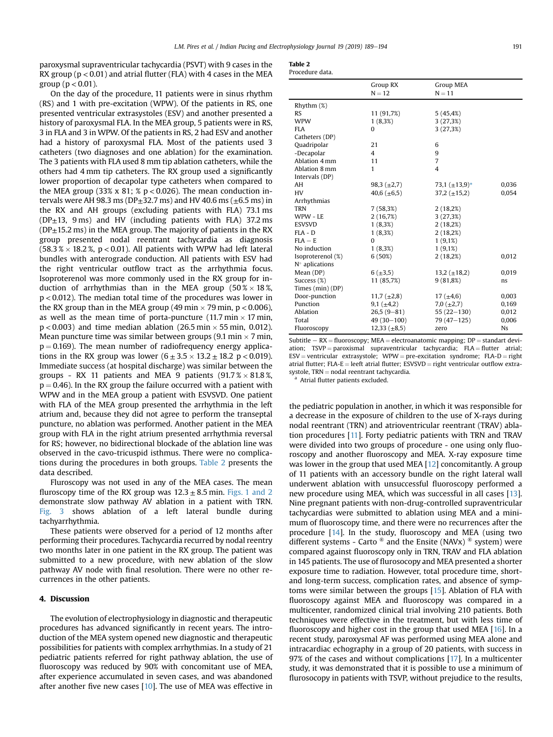paroxysmal supraventricular tachycardia (PSVT) with 9 cases in the RX group ( $p < 0.01$ ) and atrial flutter (FLA) with 4 cases in the MEA group ( $p < 0.01$ ).

On the day of the procedure, 11 patients were in sinus rhythm (RS) and 1 with pre-excitation (WPW). Of the patients in RS, one presented ventricular extrasystoles (ESV) and another presented a history of paroxysmal FLA. In the MEA group, 5 patients were in RS, 3 in FLA and 3 in WPW. Of the patients in RS, 2 had ESV and another had a history of paroxysmal FLA. Most of the patients used 3 catheters (two diagnoses and one ablation) for the examination. The 3 patients with FLA used 8 mm tip ablation catheters, while the others had 4 mm tip catheters. The RX group used a significantly lower proportion of decapolar type catheters when compared to the MEA group (33% x 81; %  $p < 0.026$ ). The mean conduction intervals were AH 98.3 ms (DP $\pm$ 32.7 ms) and HV 40.6 ms ( $\pm$ 6.5 ms) in the RX and AH groups (excluding patients with FLA) 73.1 ms ( $DP<sub>±</sub>13$ , 9 ms) and HV (including patients with FLA) 37.2 ms  $(DP<sub>±</sub>15.2 \text{ ms})$  in the MEA group. The majority of patients in the RX group presented nodal reentrant tachycardia as diagnosis  $(58.3\% \times 18.2\%$ , p < 0.01). All patients with WPW had left lateral bundles with anterograde conduction. All patients with ESV had the right ventricular outflow tract as the arrhythmia focus. Isoproterenol was more commonly used in the RX group for induction of arrhythmias than in the MEA group  $(50\% \times 18\%)$ p < 0.012). The median total time of the procedures was lower in the RX group than in the MEA group (49 min  $\times$  79 min, p  $<$  0.006), as well as the mean time of porta-puncture (11.7 min  $\times$  17 min,  $p < 0.003$ ) and time median ablation (26.5 min  $\times$  55 min, 0.012). Mean puncture time was similar between groups (9.1 min  $\times$  7 min,  $p = 0.169$ ). The mean number of radiofrequency energy applications in the RX group was lower  $(6 \pm 3.5 \times 13.2 \pm 18.2 \text{ p} < 0.019)$ . Immediate success (at hospital discharge) was similar between the groups - RX 11 patients and MEA 9 patients  $(91.7\% \times 81.8\%)$  $p = 0.46$ ). In the RX group the failure occurred with a patient with WPW and in the MEA group a patient with ESVSVD. One patient with FLA of the MEA group presented the arrhythmia in the left atrium and, because they did not agree to perform the transeptal puncture, no ablation was performed. Another patient in the MEA group with FLA in the right atrium presented arrhythmia reversal for RS; however, no bidirectional blockade of the ablation line was observed in the cavo-tricuspid isthmus. There were no complications during the procedures in both groups. Table 2 presents the data described.

Fluroscopy was not used in any of the MEA cases. The mean fluroscopy time of the RX group was  $12.3 \pm 8.5$  min. [Figs. 1 and 2](#page-3-0) demonstrate slow pathway AV ablation in a patient with TRN. [Fig. 3](#page-4-0) shows ablation of a left lateral bundle during tachyarrhythmia.

These patients were observed for a period of 12 months after performing their procedures. Tachycardia recurred by nodal reentry two months later in one patient in the RX group. The patient was submitted to a new procedure, with new ablation of the slow pathway AV node with final resolution. There were no other recurrences in the other patients.

## 4. Discussion

The evolution of electrophysiology in diagnostic and therapeutic procedures has advanced significantly in recent years. The introduction of the MEA system opened new diagnostic and therapeutic possibilities for patients with complex arrhythmias. In a study of 21 pediatric patients referred for right pathway ablation, the use of fluoroscopy was reduced by 90% with concomitant use of MEA, after experience accumulated in seven cases, and was abandoned after another five new cases [\[10](#page-5-0)]. The use of MEA was effective in

| Procedure data. |  |
|-----------------|--|
|-----------------|--|

|                   | Group RX<br>$N = 12$ | <b>Group MEA</b><br>$N = 11$ |           |
|-------------------|----------------------|------------------------------|-----------|
| $R$ hythm $(\%)$  |                      |                              |           |
| <b>RS</b>         | 11 (91,7%)           | 5(45, 4%)                    |           |
| <b>WPW</b>        | $1(8,3\%)$           | 3(27,3%)                     |           |
| <b>FLA</b>        | $\Omega$             | 3(27,3%)                     |           |
| Catheters (DP)    |                      |                              |           |
| Quadripolar       | 21                   | 6                            |           |
| -Decapolar        | $\overline{4}$       | 9                            |           |
| Ablation 4 mm     | 11                   | $\overline{7}$               |           |
| Ablation 8 mm     | 1                    | $\overline{4}$               |           |
| Intervals (DP)    |                      |                              |           |
| AH                | 98,3 $(\pm 2,7)$     | 73,1 $(\pm 13.9)^*$          | 0,036     |
| HV                | 40,6 $(\pm 6.5)$     | $37,2 \ (\pm 15,2)$          | 0,054     |
| Arrhythmias       |                      |                              |           |
| <b>TRN</b>        | 7(58,3%)             | 2(18,2%)                     |           |
| WPW - LE          | 2(16,7%)             | 3(27,3%)                     |           |
| <b>ESVSVD</b>     | $1(8,3\%)$           | 2(18,2%)                     |           |
| $FLA - D$         | 1(8,3%)              | 2(18,2%)                     |           |
| $FIA - E$         | $\Omega$             | $1(9,1\%)$                   |           |
| No induction      | $1(8,3\%)$           | $1(9,1\%)$                   |           |
| Isoproterenol (%) | 6(50%)               | 2(18,2%)                     | 0,012     |
| $N°$ aplications  |                      |                              |           |
| Mean (DP)         | $6 (+3,5)$           | 13,2 $(\pm 18,2)$            | 0,019     |
| Success (%)       | 11 (85,7%)           | 9(81,8%)                     | ns.       |
| Times (min) (DP)  |                      |                              |           |
| Door-punction     | $11,7 \ (\pm 2,8)$   | 17 $(\pm 4.6)$               | 0,003     |
| Punction          | 9,1 $(\pm 4,2)$      | 7,0 $(\pm 2, 7)$             | 0,169     |
| Ablation          | $26,5(9-81)$         | $55(22-130)$                 | 0,012     |
| Total             | $49(30-100)$         | 79 (47-125)                  | 0,006     |
| Fluoroscopy       | $12,33 \ (\pm 8,5)$  | zero                         | <b>Ns</b> |

Subtitle  $- RX =$  fluoroscopy; MEA = electroanatomic mapping; DP = standart deviation;  $TSVP =$  paroxismal supraventricular tachycardia;  $FLA = flutter$  atrial;  $ESV =$  ventricular extrasystole; WPW = pre-excitation syndrome; FLA-D = right atrial flutter; FLA-E = leeft atrial flutter; ESVSVD = right ventricular outflow extra-<br>systole, TRN = nodal reentrant tachycardia.

<sup>a</sup> Atrial flutter patients excluded.

the pediatric population in another, in which it was responsible for a decrease in the exposure of children to the use of X-rays during nodal reentrant (TRN) and atrioventricular reentrant (TRAV) ablation procedures [\[11](#page-5-0)]. Forty pediatric patients with TRN and TRAV were divided into two groups of procedure - one using only fluoroscopy and another fluoroscopy and MEA. X-ray exposure time was lower in the group that used MEA [[12\]](#page-5-0) concomitantly. A group of 11 patients with an accessory bundle on the right lateral wall underwent ablation with unsuccessful fluoroscopy performed a new procedure using MEA, which was successful in all cases [[13\]](#page-5-0). Nine pregnant patients with non-drug-controlled supraventricular tachycardias were submitted to ablation using MEA and a minimum of fluoroscopy time, and there were no recurrences after the procedure [\[14](#page-5-0)]. In the study, fluoroscopy and MEA (using two different systems - Carto  $\infty$  and the Ensite (NAVx)  $\infty$  system) were compared against fluoroscopy only in TRN, TRAV and FLA ablation in 145 patients. The use of flurosocopy and MEA presented a shorter exposure time to radiation. However, total procedure time, shortand long-term success, complication rates, and absence of symptoms were similar between the groups [[15\]](#page-5-0). Ablation of FLA with fluoroscopy against MEA and fluoroscopy was compared in a multicenter, randomized clinical trial involving 210 patients. Both techniques were effective in the treatment, but with less time of fluoroscopy and higher cost in the group that used MEA [[16\]](#page-5-0). In a recent study, paroxysmal AF was performed using MEA alone and intracardiac echography in a group of 20 patients, with success in 97% of the cases and without complications [[17](#page-5-0)]. In a multicenter study, it was demonstrated that it is possible to use a minimum of flurosocopy in patients with TSVP, without prejudice to the results,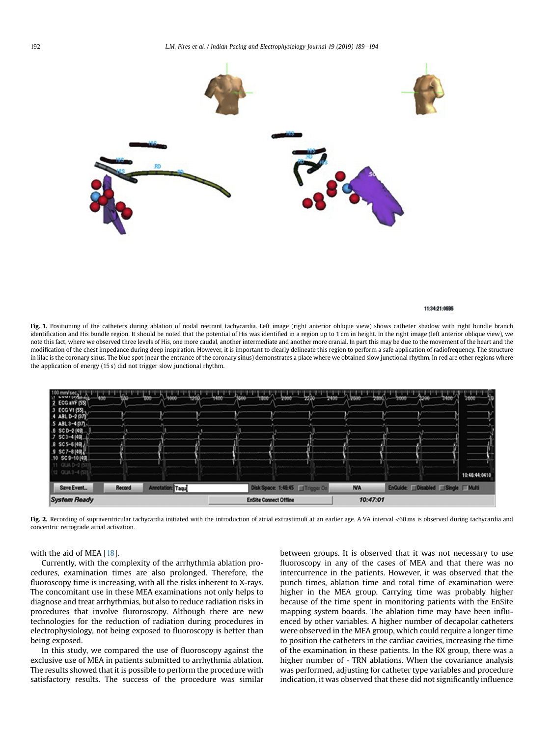<span id="page-3-0"></span>

#### 11:34:21-0696

Fig. 1. Positioning of the catheters during ablation of nodal reetrant tachycardia. Left image (right anterior oblique view) shows catheter shadow with right bundle branch identification and His bundle region. It should be noted that the potential of His was identified in a region up to 1 cm in height. In the right image (left anterior oblique view), we note this fact, where we observed three levels of His, one more caudal, another intermediate and another more cranial. In part this may be due to the movement of the heart and the modification of the chest impedance during deep inspiration. However, it is important to clearly delineate this region to perform a safe application of radiofrequency. The structure in lilac is the coronary sinus. The blue spot (near the entrance of the coronary sinus) demonstrates a place where we obtained slow junctional rhythm. In red are other regions where the application of energy (15 s) did not trigger slow junctional rhythm.



Fig. 2. Recording of supraventricular tachycardia initiated with the introduction of atrial extrastimuli at an earlier age. A VA interval <60 ms is observed during tachycardia and concentric retrograde atrial activation.

# with the aid of MEA [[18\]](#page-5-0).

Currently, with the complexity of the arrhythmia ablation procedures, examination times are also prolonged. Therefore, the fluoroscopy time is increasing, with all the risks inherent to X-rays. The concomitant use in these MEA examinations not only helps to diagnose and treat arrhythmias, but also to reduce radiation risks in procedures that involve fluroroscopy. Although there are new technologies for the reduction of radiation during procedures in electrophysiology, not being exposed to fluoroscopy is better than being exposed.

In this study, we compared the use of fluoroscopy against the exclusive use of MEA in patients submitted to arrhythmia ablation. The results showed that it is possible to perform the procedure with satisfactory results. The success of the procedure was similar between groups. It is observed that it was not necessary to use fluoroscopy in any of the cases of MEA and that there was no intercurrence in the patients. However, it was observed that the punch times, ablation time and total time of examination were higher in the MEA group. Carrying time was probably higher because of the time spent in monitoring patients with the EnSite mapping system boards. The ablation time may have been influenced by other variables. A higher number of decapolar catheters were observed in the MEA group, which could require a longer time to position the catheters in the cardiac cavities, increasing the time of the examination in these patients. In the RX group, there was a higher number of - TRN ablations. When the covariance analysis was performed, adjusting for catheter type variables and procedure indication, it was observed that these did not significantly influence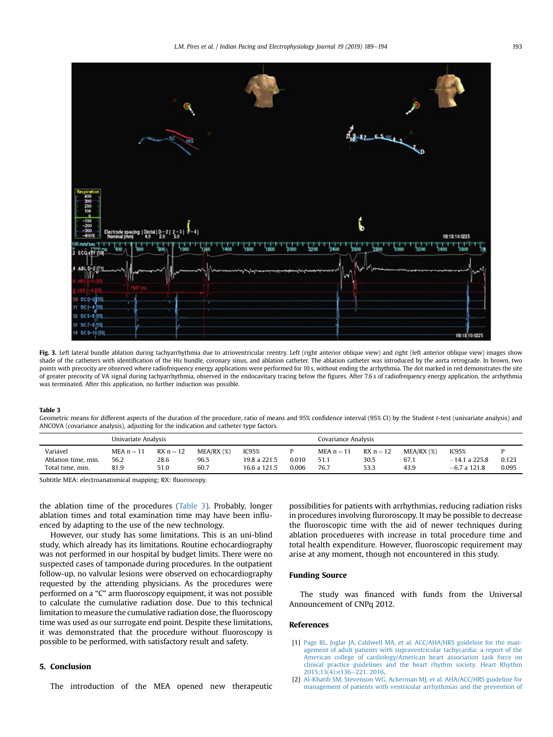<span id="page-4-0"></span>

Fig. 3. Left lateral bundle ablation during tachyarrhythmia due to atrioventricular reentry. Left (right anterior oblique view) and right (left anterior oblique view) images show shade of the catheters with identification of the His bundle, coronary sinus, and ablation catheter. The ablation catheter was introduced by the aorta retrograde. In brown, two points with precocity are observed where radiofrequency energy applications were performed for 10 s, without ending the arrhythmia. The dot marked in red demonstrates the site of greater precocity of VA signal during tachyarrhythmia, observed in the endocavitary tracing below the figures. After 7.6 s of radiofrequency energy application, the arrhythmia was terminated. After this application, no further induction was possible.

#### Table 3

Geometric means for different aspects of the duration of the procedure, ratio of means and 95% confidence interval (95% CI) by the Student t-test (univariate analysis) and ANCOVA (covariance analysis), adjusting for the indication and catheter type factors.

|                                                     | Univariate Analysis          |                             |                                 |                                       | Covariance Analysis |                              |                             |                              |                                            |                |
|-----------------------------------------------------|------------------------------|-----------------------------|---------------------------------|---------------------------------------|---------------------|------------------------------|-----------------------------|------------------------------|--------------------------------------------|----------------|
| Variável<br>Ablation time, min.<br>Total time, min. | MEA $n = 11$<br>56.2<br>81.9 | $RX n = 12$<br>28.6<br>51.0 | $MEA/RX$ $(\%)$<br>96.5<br>60.7 | IC95%<br>19.8 a 221.5<br>16.6 a 121.5 | 0.010<br>0.006      | MEA $n = 11$<br>51.1<br>76.7 | $RX_n = 12$<br>30.5<br>53.3 | $MEA/RX$ (%)<br>67.1<br>43.9 | IC95%<br>$-14.1$ a 225.8<br>$-6.7$ a 121.8 | 0.123<br>0.095 |

Subtitle MEA: electroanatomical mapping; RX: fluoroscopy.

the ablation time of the procedures (Table 3). Probably, longer ablation times and total examination time may have been influenced by adapting to the use of the new technology.

However, our study has some limitations. This is an uni-blind study, which already has its limitations. Routine echocardiography was not performed in our hospital by budget limits. There were no suspected cases of tamponade during procedures. In the outpatient follow-up, no valvular lesions were observed on echocardiography requested by the attending physicians. As the procedures were performed on a "C" arm fluoroscopy equipment, it was not possible to calculate the cumulative radiation dose. Due to this technical limitation to measure the cumulative radiation dose, the fluoroscopy time was used as our surrogate end point. Despite these limitations, it was demonstrated that the procedure without fluoroscopy is possible to be performed, with satisfactory result and safety.

## 5. Conclusion

The introduction of the MEA opened new therapeutic

possibilities for patients with arrhythmias, reducing radiation risks in procedures involving fluroroscopy. It may be possible to decrease the fluoroscopic time with the aid of newer techniques during ablation procedueres with increase in total procedure time and total health expenditure. However, fluoroscopic requirement may arise at any moment, though not encountered in this study.

# Funding Source

The study was financed with funds from the Universal Announcement of CNPq 2012.

### References

- [1] [Page RL, Joglar JA, Caldwell MA, et al. ACC/AHA/HRS guideline for the man](http://refhub.elsevier.com/S0972-6292(18)30225-0/sref1)[agement of adult patients with supraventricular tachycardia: a report of the](http://refhub.elsevier.com/S0972-6292(18)30225-0/sref1) [American college of cardiology/American heart association task force on](http://refhub.elsevier.com/S0972-6292(18)30225-0/sref1) [clinical practice guidelines and the heart rhythm society. Heart Rhythm](http://refhub.elsevier.com/S0972-6292(18)30225-0/sref1) 2015:13(4):e136-[221. 2016](http://refhub.elsevier.com/S0972-6292(18)30225-0/sref1).
- [2] [Al-Khatib SM, Stevenson WG, Ackerman MJ, et al. AHA/ACC/HRS guideline for](http://refhub.elsevier.com/S0972-6292(18)30225-0/sref2) [management of patients with ventricular arrhythmias and the prevention of](http://refhub.elsevier.com/S0972-6292(18)30225-0/sref2)